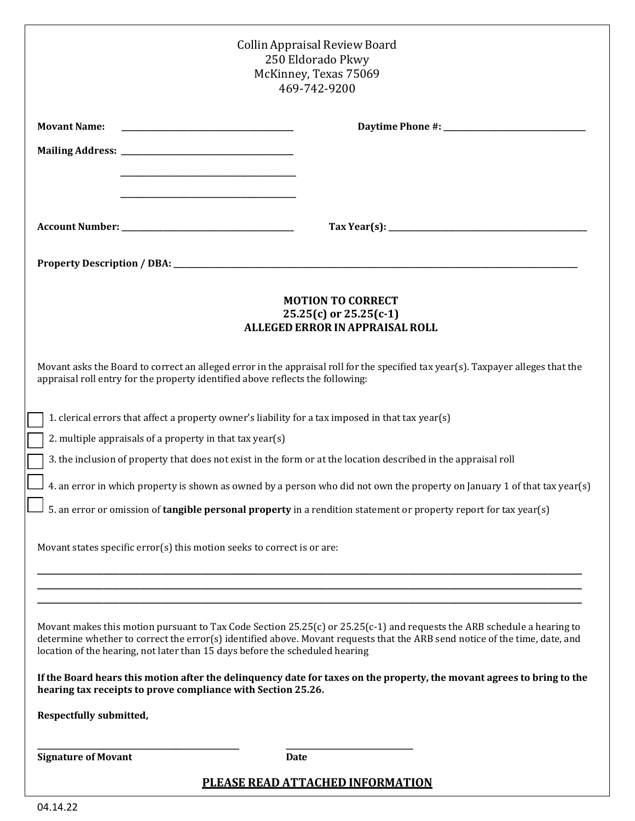| Collin Appraisal Review Board<br>250 Eldorado Pkwy<br>McKinney, Texas 75069<br>469-742-9200                                                                                                                                                                                                                                              |                                                                                                                                                                                                                                                                                                                                                                                                                                                                                                                                                                                                                                         |
|------------------------------------------------------------------------------------------------------------------------------------------------------------------------------------------------------------------------------------------------------------------------------------------------------------------------------------------|-----------------------------------------------------------------------------------------------------------------------------------------------------------------------------------------------------------------------------------------------------------------------------------------------------------------------------------------------------------------------------------------------------------------------------------------------------------------------------------------------------------------------------------------------------------------------------------------------------------------------------------------|
| <b>Movant Name:</b>                                                                                                                                                                                                                                                                                                                      |                                                                                                                                                                                                                                                                                                                                                                                                                                                                                                                                                                                                                                         |
|                                                                                                                                                                                                                                                                                                                                          |                                                                                                                                                                                                                                                                                                                                                                                                                                                                                                                                                                                                                                         |
|                                                                                                                                                                                                                                                                                                                                          |                                                                                                                                                                                                                                                                                                                                                                                                                                                                                                                                                                                                                                         |
|                                                                                                                                                                                                                                                                                                                                          | $\text{Tax Year(s):} \underline{\hspace{2cm}} \underline{\hspace{2cm}} \underline{\hspace{2cm}} \underline{\hspace{2cm}} \underline{\hspace{2cm}} \underline{\hspace{2cm}} \underline{\hspace{2cm}} \underline{\hspace{2cm}} \underline{\hspace{2cm}} \underline{\hspace{2cm}} \underline{\hspace{2cm}} \underline{\hspace{2cm}} \underline{\hspace{2cm}} \underline{\hspace{2cm}} \underline{\hspace{2cm}} \underline{\hspace{2cm}} \underline{\hspace{2cm}} \underline{\hspace{2cm}} \underline{\hspace{2cm}} \underline{\hspace{2cm}} \underline{\hspace{2cm}} \underline{\hspace{2cm}} \underline{\hspace{2cm}} \underline{\hspace$ |
|                                                                                                                                                                                                                                                                                                                                          |                                                                                                                                                                                                                                                                                                                                                                                                                                                                                                                                                                                                                                         |
| <b>MOTION TO CORRECT</b><br>$25.25(c)$ or $25.25(c-1)$<br><b>ALLEGED ERROR IN APPRAISAL ROLL</b>                                                                                                                                                                                                                                         |                                                                                                                                                                                                                                                                                                                                                                                                                                                                                                                                                                                                                                         |
| Movant asks the Board to correct an alleged error in the appraisal roll for the specified tax year(s). Taxpayer alleges that the<br>appraisal roll entry for the property identified above reflects the following:                                                                                                                       |                                                                                                                                                                                                                                                                                                                                                                                                                                                                                                                                                                                                                                         |
|                                                                                                                                                                                                                                                                                                                                          | 1. clerical errors that affect a property owner's liability for a tax imposed in that tax year(s)                                                                                                                                                                                                                                                                                                                                                                                                                                                                                                                                       |
| 2. multiple appraisals of a property in that tax year(s)<br>3. the inclusion of property that does not exist in the form or at the location described in the appraisal roll                                                                                                                                                              |                                                                                                                                                                                                                                                                                                                                                                                                                                                                                                                                                                                                                                         |
| 4. an error in which property is shown as owned by a person who did not own the property on January 1 of that tax year(s)                                                                                                                                                                                                                |                                                                                                                                                                                                                                                                                                                                                                                                                                                                                                                                                                                                                                         |
| 5. an error or omission of tangible personal property in a rendition statement or property report for tax year(s)                                                                                                                                                                                                                        |                                                                                                                                                                                                                                                                                                                                                                                                                                                                                                                                                                                                                                         |
| Movant states specific error(s) this motion seeks to correct is or are:                                                                                                                                                                                                                                                                  |                                                                                                                                                                                                                                                                                                                                                                                                                                                                                                                                                                                                                                         |
|                                                                                                                                                                                                                                                                                                                                          |                                                                                                                                                                                                                                                                                                                                                                                                                                                                                                                                                                                                                                         |
| Movant makes this motion pursuant to Tax Code Section 25.25(c) or $25.25(c-1)$ and requests the ARB schedule a hearing to<br>determine whether to correct the error(s) identified above. Movant requests that the ARB send notice of the time, date, and<br>location of the hearing, not later than 15 days before the scheduled hearing |                                                                                                                                                                                                                                                                                                                                                                                                                                                                                                                                                                                                                                         |
| If the Board hears this motion after the delinguency date for taxes on the property, the movant agrees to bring to the<br>hearing tax receipts to prove compliance with Section 25.26.                                                                                                                                                   |                                                                                                                                                                                                                                                                                                                                                                                                                                                                                                                                                                                                                                         |
| Respectfully submitted,                                                                                                                                                                                                                                                                                                                  |                                                                                                                                                                                                                                                                                                                                                                                                                                                                                                                                                                                                                                         |
| <b>Signature of Movant</b>                                                                                                                                                                                                                                                                                                               | Date                                                                                                                                                                                                                                                                                                                                                                                                                                                                                                                                                                                                                                    |
| <b>PLEASE READ ATTACHED INFORMATION</b>                                                                                                                                                                                                                                                                                                  |                                                                                                                                                                                                                                                                                                                                                                                                                                                                                                                                                                                                                                         |